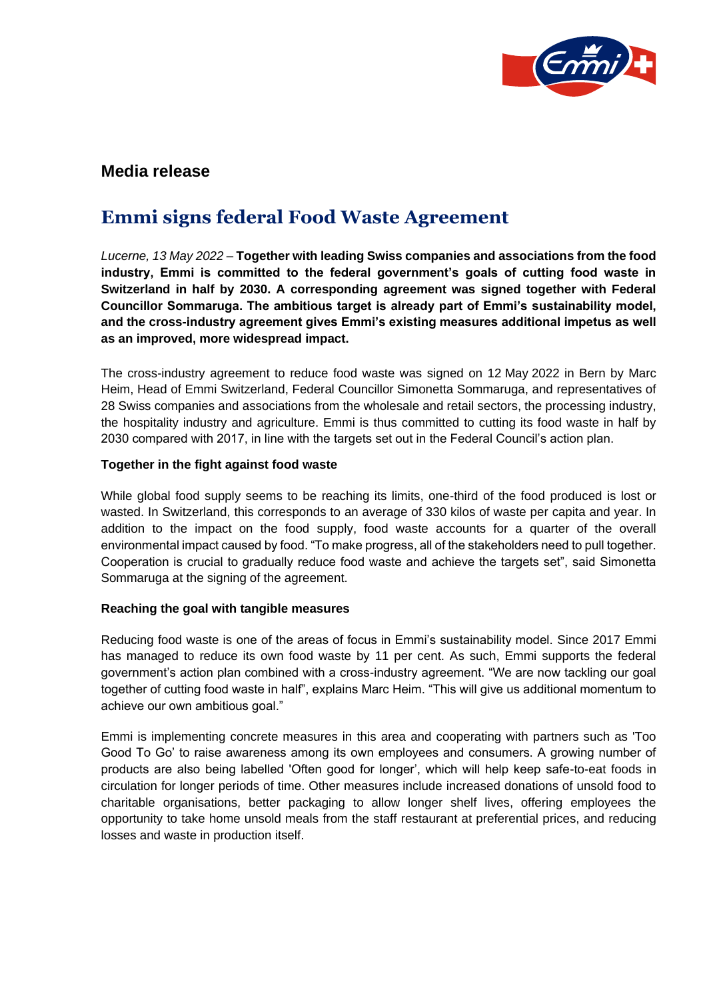

## **Media release**

# **Emmi signs federal Food Waste Agreement**

*Lucerne, 13 May 2022* – **Together with leading Swiss companies and associations from the food industry, Emmi is committed to the federal government's goals of cutting food waste in Switzerland in half by 2030. A corresponding agreement was signed together with Federal Councillor Sommaruga. The ambitious target is already part of Emmi's sustainability model, and the cross-industry agreement gives Emmi's existing measures additional impetus as well as an improved, more widespread impact.**

The cross-industry agreement to reduce food waste was signed on 12 May 2022 in Bern by Marc Heim, Head of Emmi Switzerland, Federal Councillor Simonetta Sommaruga, and representatives of 28 Swiss companies and associations from the wholesale and retail sectors, the processing industry, the hospitality industry and agriculture. Emmi is thus committed to cutting its food waste in half by 2030 compared with 2017, in line with the targets set out in the Federal Council's action plan.

#### **Together in the fight against food waste**

While global food supply seems to be reaching its limits, one-third of the food produced is lost or wasted. In Switzerland, this corresponds to an average of 330 kilos of waste per capita and year. In addition to the impact on the food supply, food waste accounts for a quarter of the overall environmental impact caused by food. "To make progress, all of the stakeholders need to pull together. Cooperation is crucial to gradually reduce food waste and achieve the targets set", said Simonetta Sommaruga at the signing of the agreement.

### **Reaching the goal with tangible measures**

Reducing food waste is one of the areas of focus in Emmi's sustainability model. Since 2017 Emmi has managed to reduce its own food waste by 11 per cent. As such, Emmi supports the federal government's action plan combined with a cross-industry agreement. "We are now tackling our goal together of cutting food waste in half", explains Marc Heim. "This will give us additional momentum to achieve our own ambitious goal."

Emmi is implementing concrete measures in this area and cooperating with partners such as 'Too Good To Go' to raise awareness among its own employees and consumers. A growing number of products are also being labelled 'Often good for longer', which will help keep safe-to-eat foods in circulation for longer periods of time. Other measures include increased donations of unsold food to charitable organisations, better packaging to allow longer shelf lives, offering employees the opportunity to take home unsold meals from the staff restaurant at preferential prices, and reducing losses and waste in production itself.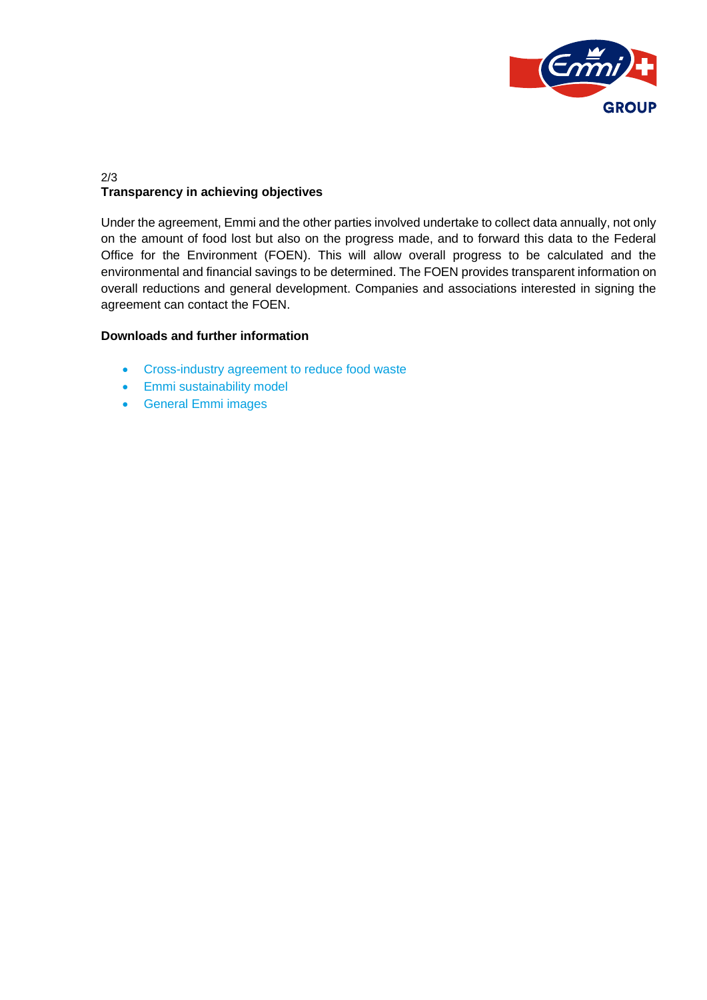

### 2/3 **Transparency in achieving objectives**

Under the agreement, Emmi and the other parties involved undertake to collect data annually, not only on the amount of food lost but also on the progress made, and to forward this data to the Federal Office for the Environment (FOEN). This will allow overall progress to be calculated and the environmental and financial savings to be determined. The FOEN provides transparent information on overall reductions and general development. Companies and associations interested in signing the agreement can contact the FOEN.

### **Downloads and further information**

- [Cross-industry agreement to reduce food waste](https://www.bafu.admin.ch/bafu/en/home/topics/waste/guide-to-waste-a-z/biodegradable-waste/types-of-waste/lebensmittelabfaelle.html)
- [Emmi sustainability model](https://group.emmi.com/che/en/sustainability/sustainability-model/sustainability-model)
- [General Emmi](https://mediabox.emmi.ch/search) images